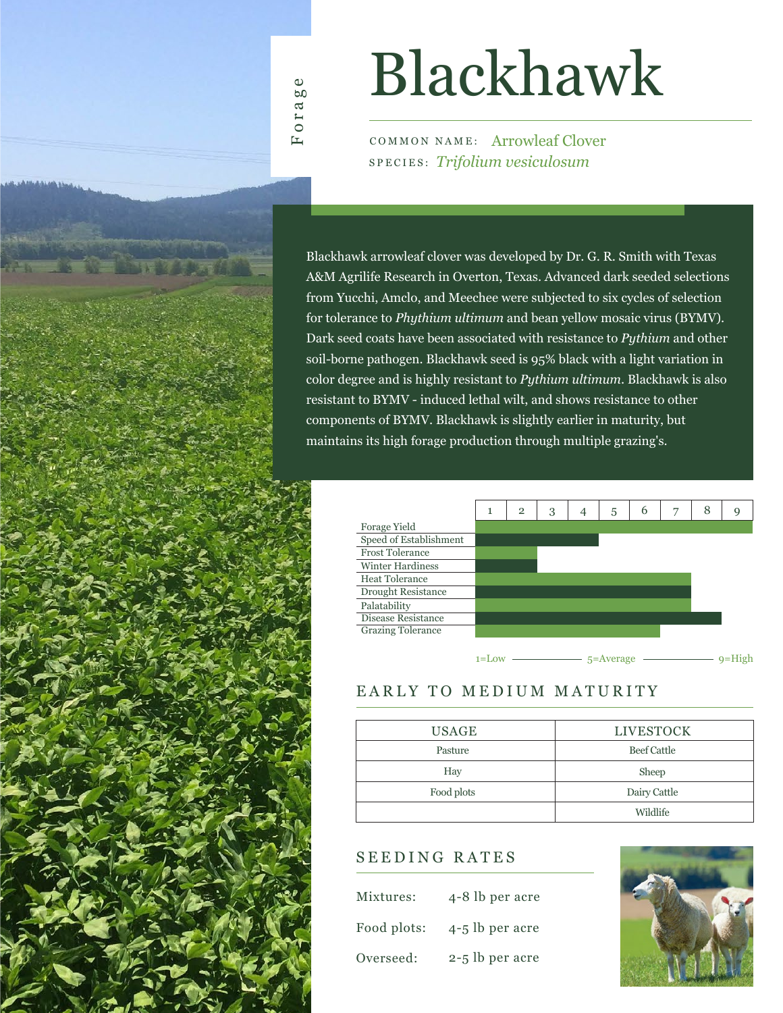

# Blackhawk

COMMON NAME: Arrowleaf Clover SPECIES: *Trifolium vesiculosum*

Blackhawk arrowleaf clover was developed by Dr. G. R. Smith with Texas A&M Agrilife Research in Overton, Texas. Advanced dark seeded selections from Yucchi, Amclo, and Meechee were subjected to six cycles of selection for tolerance to *Phythium ultimum* and bean yellow mosaic virus (BYMV). Dark seed coats have been associated with resistance to *Pythium* and other soil-borne pathogen. Blackhawk seed is 95% black with a light variation in color degree and is highly resistant to *Pythium ultimum*. Blackhawk is also resistant to BYMV - induced lethal wilt, and shows resistance to other components of BYMV. Blackhawk is slightly earlier in maturity, but maintains its high forage production through multiple grazing's.



### EARLY TO MEDIUM MATURITY

| USAGE      | <b>LIVESTOCK</b>   |  |  |  |  |  |
|------------|--------------------|--|--|--|--|--|
| Pasture    | <b>Beef Cattle</b> |  |  |  |  |  |
| Hay        | Sheep              |  |  |  |  |  |
| Food plots | Dairy Cattle       |  |  |  |  |  |
|            | Wildlife           |  |  |  |  |  |

### SEEDING RATES

| Mixtures:   | 4-8 lb per acre |
|-------------|-----------------|
| Food plots: | 4-5 lb per acre |
| Overseed:   | 2-5 lb per acre |